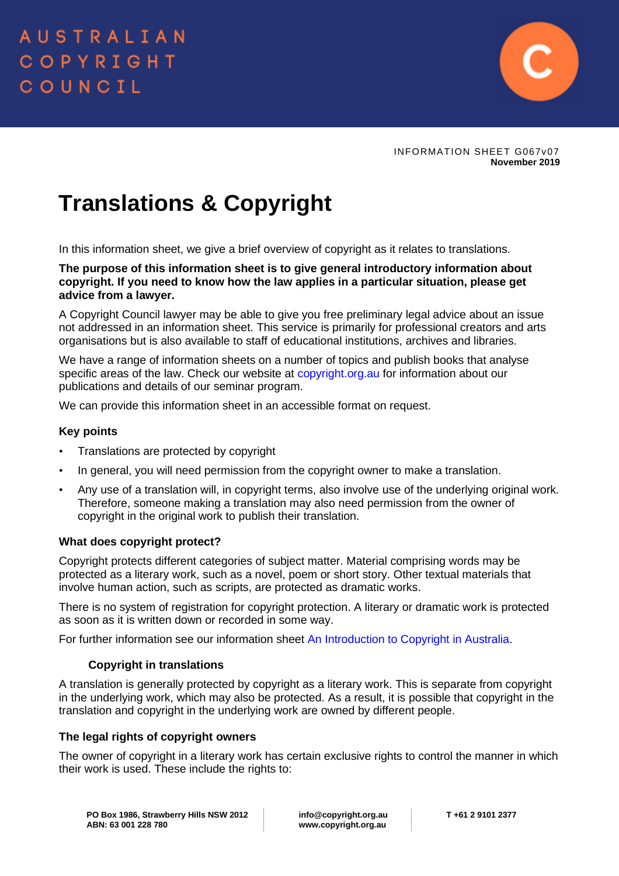

INFORMATION SHEET G067v07 **November 2019**

# **Translations & Copyright**

In this information sheet, we give a brief overview of copyright as it relates to translations.

**The purpose of this information sheet is to give general introductory information about copyright. If you need to know how the law applies in a particular situation, please get advice from a lawyer.** 

A Copyright Council lawyer may be able to give you free preliminary legal advice about an issue not addressed in an information sheet. This service is primarily for professional creators and arts organisations but is also available to staff of educational institutions, archives and libraries.

We have a range of information sheets on a number of topics and publish books that analyse specific areas of the law. Check our website at [copyright.org.au](http://copyright.org.au/) for information about our publications and details of our seminar program.

We can provide this information sheet in an accessible format on request.

# **Key points**

- Translations are protected by copyright
- In general, you will need permission from the copyright owner to make a translation.
- Any use of a translation will, in copyright terms, also involve use of the underlying original work. Therefore, someone making a translation may also need permission from the owner of copyright in the original work to publish their translation.

# **What does copyright protect?**

Copyright protects different categories of subject matter. Material comprising words may be protected as a literary work, such as a novel, poem or short story. Other textual materials that involve human action, such as scripts, are protected as dramatic works.

There is no system of registration for copyright protection. A literary or dramatic work is protected as soon as it is written down or recorded in some way.

For further information see our information sheet [An Introduction to Copyright in Australia.](https://www.copyright.org.au/ACC_Prod/ACC/Information_Sheets/An_Introduction_to_Copyright_in_Australia.aspx?WebsiteKey=8a471e74-3f78-4994-9023-316f0ecef4ef)

# **Copyright in translations**

A translation is generally protected by copyright as a literary work. This is separate from copyright in the underlying work, which may also be protected. As a result, it is possible that copyright in the translation and copyright in the underlying work are owned by different people.

#### **The legal rights of copyright owners**

The owner of copyright in a literary work has certain exclusive rights to control the manner in which their work is used. These include the rights to: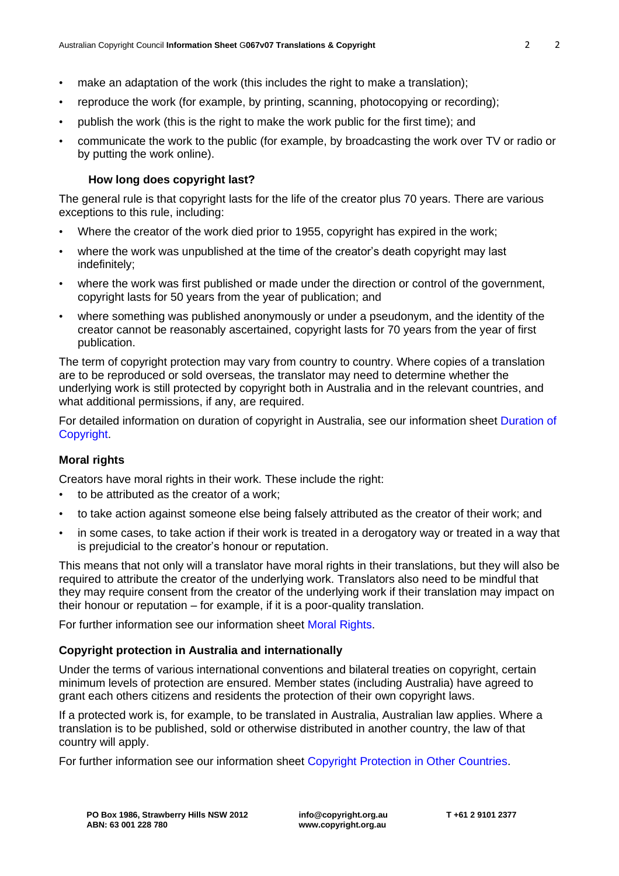- make an adaptation of the work (this includes the right to make a translation);
- reproduce the work (for example, by printing, scanning, photocopying or recording);
- publish the work (this is the right to make the work public for the first time); and
- communicate the work to the public (for example, by broadcasting the work over TV or radio or by putting the work online).

# **How long does copyright last?**

The general rule is that copyright lasts for the life of the creator plus 70 years. There are various exceptions to this rule, including:

- Where the creator of the work died prior to 1955, copyright has expired in the work;
- where the work was unpublished at the time of the creator's death copyright may last indefinitely;
- where the work was first published or made under the direction or control of the government, copyright lasts for 50 years from the year of publication; and
- where something was published anonymously or under a pseudonym, and the identity of the creator cannot be reasonably ascertained, copyright lasts for 70 years from the year of first publication.

The term of copyright protection may vary from country to country. Where copies of a translation are to be reproduced or sold overseas, the translator may need to determine whether the underlying work is still protected by copyright both in Australia and in the relevant countries, and what additional permissions, if any, are required.

For detailed information on duration of copyright in Australia, see our information sheet [Duration of](https://www.copyright.org.au/ACC_Prod/ACC/Information_Sheets/Duration_of_Copyright.aspx?WebsiteKey=8a471e74-3f78-4994-9023-316f0ecef4ef)  [Copyright.](https://www.copyright.org.au/ACC_Prod/ACC/Information_Sheets/Duration_of_Copyright.aspx?WebsiteKey=8a471e74-3f78-4994-9023-316f0ecef4ef)

# **Moral rights**

Creators have moral rights in their work. These include the right:

- to be attributed as the creator of a work;
- to take action against someone else being falsely attributed as the creator of their work; and
- in some cases, to take action if their work is treated in a derogatory way or treated in a way that is prejudicial to the creator's honour or reputation.

This means that not only will a translator have moral rights in their translations, but they will also be required to attribute the creator of the underlying work. Translators also need to be mindful that they may require consent from the creator of the underlying work if their translation may impact on their honour or reputation – for example, if it is a poor-quality translation.

For further information see our information sheet [Moral Rights.](https://www.copyright.org.au/ACC_Prod/ACC/Information_Sheets/Moral_Rights.aspx?WebsiteKey=8a471e74-3f78-4994-9023-316f0ecef4ef)

#### **Copyright protection in Australia and internationally**

Under the terms of various international conventions and bilateral treaties on copyright, certain minimum levels of protection are ensured. Member states (including Australia) have agreed to grant each others citizens and residents the protection of their own copyright laws.

If a protected work is, for example, to be translated in Australia, Australian law applies. Where a translation is to be published, sold or otherwise distributed in another country, the law of that country will apply.

For further information see our information sheet [Copyright Protection in Other Countries.](https://www.copyright.org.au/ACC_Prod/ACC/Information_Sheets/Copyright_Protection_in_Other_Countries.aspx?WebsiteKey=8a471e74-3f78-4994-9023-316f0ecef4ef)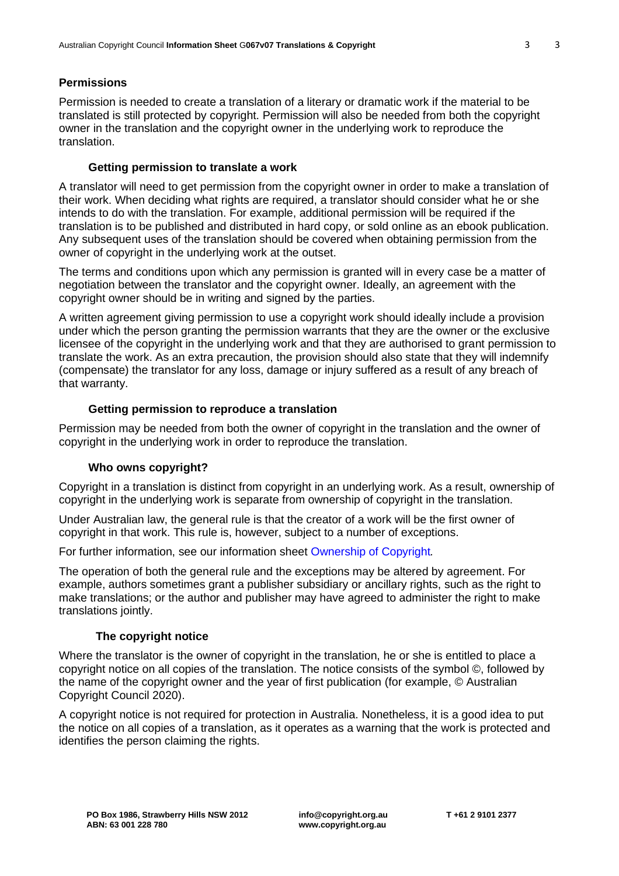# **Permissions**

Permission is needed to create a translation of a literary or dramatic work if the material to be translated is still protected by copyright. Permission will also be needed from both the copyright owner in the translation and the copyright owner in the underlying work to reproduce the translation.

# **Getting permission to translate a work**

A translator will need to get permission from the copyright owner in order to make a translation of their work. When deciding what rights are required, a translator should consider what he or she intends to do with the translation. For example, additional permission will be required if the translation is to be published and distributed in hard copy, or sold online as an ebook publication. Any subsequent uses of the translation should be covered when obtaining permission from the owner of copyright in the underlying work at the outset.

The terms and conditions upon which any permission is granted will in every case be a matter of negotiation between the translator and the copyright owner. Ideally, an agreement with the copyright owner should be in writing and signed by the parties.

A written agreement giving permission to use a copyright work should ideally include a provision under which the person granting the permission warrants that they are the owner or the exclusive licensee of the copyright in the underlying work and that they are authorised to grant permission to translate the work. As an extra precaution, the provision should also state that they will indemnify (compensate) the translator for any loss, damage or injury suffered as a result of any breach of that warranty.

### **Getting permission to reproduce a translation**

Permission may be needed from both the owner of copyright in the translation and the owner of copyright in the underlying work in order to reproduce the translation.

#### **Who owns copyright?**

Copyright in a translation is distinct from copyright in an underlying work. As a result, ownership of copyright in the underlying work is separate from ownership of copyright in the translation.

Under Australian law, the general rule is that the creator of a work will be the first owner of copyright in that work. This rule is, however, subject to a number of exceptions.

For further information, see our information sheet [Ownership of Copyright](https://www.copyright.org.au/ACC_Prod/ACC/Information_Sheets/Ownership_of_Copyright.aspx?WebsiteKey=8a471e74-3f78-4994-9023-316f0ecef4ef)*.*

The operation of both the general rule and the exceptions may be altered by agreement. For example, authors sometimes grant a publisher subsidiary or ancillary rights, such as the right to make translations; or the author and publisher may have agreed to administer the right to make translations jointly.

#### **The copyright notice**

Where the translator is the owner of copyright in the translation, he or she is entitled to place a copyright notice on all copies of the translation. The notice consists of the symbol ©, followed by the name of the copyright owner and the year of first publication (for example, © Australian Copyright Council 2020).

A copyright notice is not required for protection in Australia. Nonetheless, it is a good idea to put the notice on all copies of a translation, as it operates as a warning that the work is protected and identifies the person claiming the rights.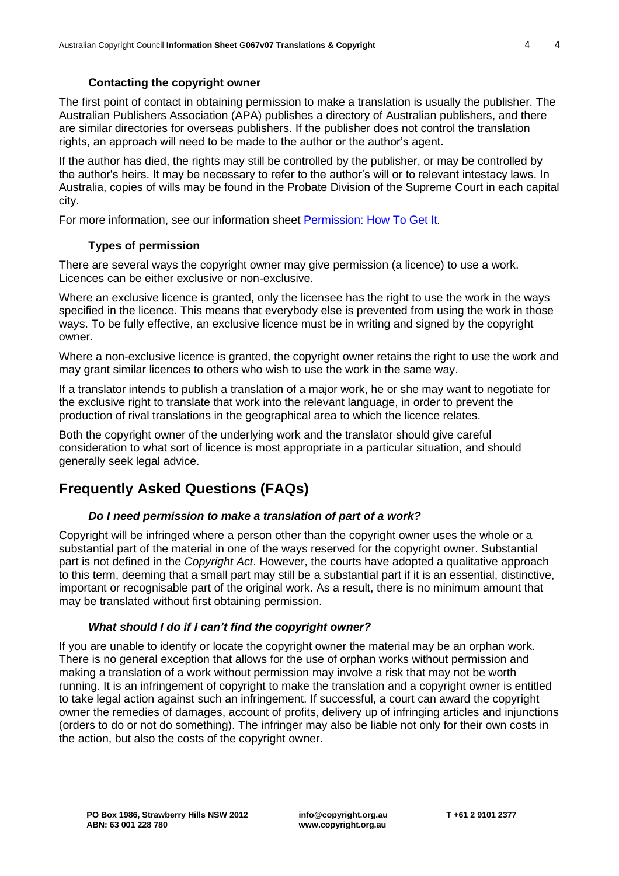### **Contacting the copyright owner**

The first point of contact in obtaining permission to make a translation is usually the publisher. The Australian Publishers Association (APA) publishes a directory of Australian publishers, and there are similar directories for overseas publishers. If the publisher does not control the translation rights, an approach will need to be made to the author or the author's agent.

If the author has died, the rights may still be controlled by the publisher, or may be controlled by the author's heirs. It may be necessary to refer to the author's will or to relevant intestacy laws. In Australia, copies of wills may be found in the Probate Division of the Supreme Court in each capital city.

For more information, see our information sheet [Permission: How To Get It](https://www.copyright.org.au/ACC_Prod/ACC/Information_Sheets/Permission__How_to_Get_It.aspx?WebsiteKey=8a471e74-3f78-4994-9023-316f0ecef4ef)*.*

# **Types of permission**

There are several ways the copyright owner may give permission (a licence) to use a work. Licences can be either exclusive or non-exclusive.

Where an exclusive licence is granted, only the licensee has the right to use the work in the ways specified in the licence. This means that everybody else is prevented from using the work in those ways. To be fully effective, an exclusive licence must be in writing and signed by the copyright owner.

Where a non-exclusive licence is granted, the copyright owner retains the right to use the work and may grant similar licences to others who wish to use the work in the same way.

If a translator intends to publish a translation of a major work, he or she may want to negotiate for the exclusive right to translate that work into the relevant language, in order to prevent the production of rival translations in the geographical area to which the licence relates.

Both the copyright owner of the underlying work and the translator should give careful consideration to what sort of licence is most appropriate in a particular situation, and should generally seek legal advice.

# **Frequently Asked Questions (FAQs)**

**ABN: 63 001 228 780**

# *Do I need permission to make a translation of part of a work?*

Copyright will be infringed where a person other than the copyright owner uses the whole or a substantial part of the material in one of the ways reserved for the copyright owner. Substantial part is not defined in the *Copyright Act*. However, the courts have adopted a qualitative approach to this term, deeming that a small part may still be a substantial part if it is an essential, distinctive, important or recognisable part of the original work. As a result, there is no minimum amount that may be translated without first obtaining permission.

# *What should I do if I can't find the copyright owner?*

If you are unable to identify or locate the copyright owner the material may be an orphan work. There is no general exception that allows for the use of orphan works without permission and making a translation of a work without permission may involve a risk that may not be worth running. It is an infringement of copyright to make the translation and a copyright owner is entitled to take legal action against such an infringement. If successful, a court can award the copyright owner the remedies of damages, account of profits, delivery up of infringing articles and injunctions (orders to do or not do something). The infringer may also be liable not only for their own costs in the action, but also the costs of the copyright owner.